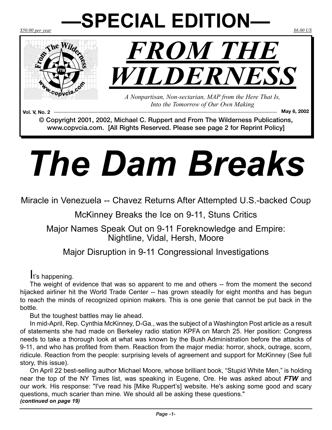# *\$50.00 per year \$6.00 US* **—SPECIAL EDITION—**





*A Nonpartisan, Non-sectarian, MAP from the Here That Is, Into the Tomorrow of Our Own Making*

**Vol. V, No. 2 May 6, 2002** © Copyright 2001, 2002, Michael C. Ruppert and From The Wilderness Publications, www.copvcia.com. [All Rights Reserved. Please see page 2 for Reprint Policy]

# *The Dam Breaks*

Miracle in Venezuela -- Chavez Returns After Attempted U.S.-backed Coup

McKinney Breaks the Ice on 9-11, Stuns Critics

Major Names Speak Out on 9-11 Foreknowledge and Empire: Nightline, Vidal, Hersh, Moore

## Major Disruption in 9-11 Congressional Investigations

## It's happening.

The weight of evidence that was so apparent to me and others -- from the moment the second hijacked airliner hit the World Trade Center -- has grown steadily for eight months and has begun to reach the minds of recognized opinion makers. This is one genie that cannot be put back in the bottle.

But the toughest battles may lie ahead.

In mid-April, Rep. Cynthia McKinney, D-Ga., was the subject of a Washington Post article as a result of statements she had made on Berkeley radio station KPFA on March 25. Her position: Congress needs to take a thorough look at what was known by the Bush Administration before the attacks of 9-11, and who has profited from them. Reaction from the major media: horror, shock, outrage, scorn, ridicule. Reaction from the people: surprising levels of agreement and support for McKinney (See full story, this issue).

On April 22 best-selling author Michael Moore, whose brilliant book, "Stupid White Men," is holding near the top of the NY Times list, was speaking in Eugene, Ore. He was asked about *FTW* and our work. His response: "I've read his [Mike Ruppert's] website. He's asking some good and scary questions, much scarier than mine. We should all be asking these questions." *(continued on page 19)*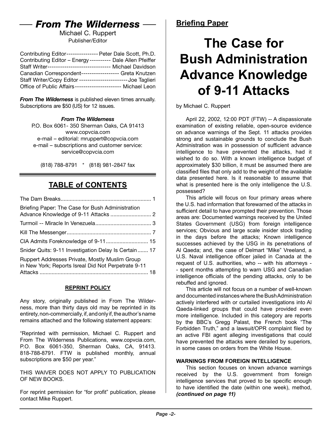# *From The Wilderness*

Michael C. Ruppert Publisher/Editor

| Contributing Editor---------------- Peter Dale Scott, Ph.D.  |  |
|--------------------------------------------------------------|--|
| Contributing Editor - Energy---------- Dale Allen Pfeiffer   |  |
| Staff Writer----------------------------- Michael Davidson   |  |
| Canadian Correspondent------------------ Greta Knutzen       |  |
| Staff Writer/Copy Editor -----------------------Joe Taglieri |  |
| Office of Public Affairs--------------------- Michael Leon   |  |

*From The Wilderness* is published eleven times annually. Subscriptions are \$50 (US) for 12 issues.

#### *From The Wilderness*

P.O. Box 6061- 350 Sherman Oaks, CA 91413 [www.copvcia.com](http://www.copvcia.com) e-mail – editorial: mruppert@copvcia.com e-mail – subscriptions and customer service: service@copvcia.com

(818) 788-8791 \* (818) 981-2847 fax

## **TABLE of CONTENTS**

#### **REPRINT POLICY**

Any story, originally published in From The Wilderness, more than thirty days old may be reprinted in its entirety, non-commercially, if, and only if, the author's name remains attached and the following statement appears:

"Reprinted with permission, Michael C. Ruppert and From The Wilderness Publications, www.copvcia.com, P.O. Box 6061-350, Sherman Oaks, CA, 91413. 818-788-8791. FTW is published monthly, annual subscriptions are \$50 per year."

THIS WAIVER DOES NOT APPLY TO PUBLICATION OF NEW BOOKS.

For reprint permission for "for profit" publication, please contact Mike Ruppert.

# **The Case for Bush Administration Advance Knowledge of 9-11 Attacks**

by Michael C. Ruppert

April 22, 2002, 12:00 PDT (FTW) -- A dispassionate examination of existing reliable, open-source evidence on advance warnings of the Sept. 11 attacks provides strong and sustainable grounds to conclude the Bush Administration was in possession of sufficient advance intelligence to have prevented the attacks, had it wished to do so. With a known intelligence budget of approximately \$30 billion, it must be assumed there are classified files that only add to the weight of the available data presented here. Is it reasonable to assume that what is presented here is the only intelligence the U.S. possessed?

This article will focus on four primary areas where the U.S. had information that forewarned of the attacks in sufficient detail to have prompted their prevention. Those areas are: Documented warnings received by the United States Government (USG) from foreign intelligence services; Obvious and large scale insider stock trading in the days before the attacks; Known intelligence successes achieved by the USG in its penetrations of Al Qaeda; and, the case of Delmart "Mike" Vreeland, a U.S. Naval intelligence officer jailed in Canada at the request of U.S. authorities, who -- with his attorneys - - spent months attempting to warn USG and Canadian intelligence officials of the pending attacks, only to be rebuffed and ignored.

This article will not focus on a number of well-known and documented instances where the Bush Administration actively interfered with or curtailed investigations into Al Qaeda-linked groups that could have provided even more intelligence. Included in this category are reports by the BBC's Gregg Palast, the French book "The Forbidden Truth," and a lawsuit/OPR complaint filed by an active FBI agent alleging investigations that could have prevented the attacks were derailed by superiors, in some cases on orders from the White House.

#### **WARNINGS FROM FOREIGN INTELLIGENCE**

This section focuses on known advance warnings received by the U.S. government from foreign intelligence services that proved to be specific enough to have identified the date (within one week), method, *(continued on page 11)*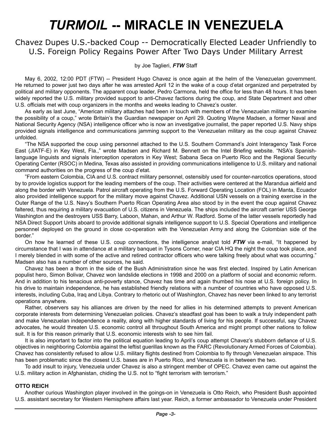# *TURMOIL* **-- MIRACLE IN VENEZUELA**

## Chavez Dupes U.S.-backed Coup -- Democratically Elected Leader Unfriendly to U.S. Foreign Policy Regains Power After Two Days Under Military Arrest

by Joe Taglieri, *FTW* Staff

May 6, 2002, 12:00 PDT (FTW) -- President Hugo Chavez is once again at the helm of the Venezuelan government. He returned to power just two days after he was arrested April 12 in the wake of a coup d'etat organized and perpetrated by political and military opponents. The apparent coup leader, Pedro Carmona, held the office for less than 48 hours. It has been widely reported the U.S. military provided support to anti-Chavez factions during the coup, and State Department and other U.S. officials met with coup organizers in the months and weeks leading to Chavez's ouster.

As early as last June, "American military attaches had been in touch with members of the Venezuelan military to examine the possibility of a coup," wrote Britain's the Guardian newspaper on April 29. Quoting Wayne Madsen, a former Naval and National Security Agency (NSA) intelligence officer who is now an investigative journalist, the paper reported U.S. Navy ships provided signals intelligence and communications jamming support to the Venezuelan military as the coup against Chavez unfolded.

"The NSA supported the coup using personnel attached to the U.S. Southern Command's Joint Interagency Task Force East (JIATF-E) in Key West, Fla.," wrote Madsen and Richard M. Bennett on the Intel Briefing website. "NSA's Spanishlanguage linguists and signals interception operators in Key West; Sabana Seca on Puerto Rico and the Regional Security Operating Center (RSOC) in Medina, Texas also assisted in providing communications intelligence to U.S. military and national command authorities on the progress of the coup d'etat.

"From eastern Colombia, CIA and U.S. contract military personnel, ostensibly used for counter-narcotics operations, stood by to provide logistics support for the leading members of the coup. Their activities were centered at the Marandua airfield and along the border with Venezuela. Patrol aircraft operating from the U.S. Forward Operating Location (FOL) in Manta, Ecuador also provided intelligence support for the military move against Chavez. Additional USN vessels on a training exercise in the Outer Range of the U.S. Navy's Southern Puerto Rican Operating Area also stood by in the event the coup against Chavez faltered, thus requiring a military evacuation of U.S. citizens in Venezuela. The ships included the aircraft carrier USS George Washington and the destroyers USS Barry, Laboon, Mahan, and Arthur W. Radford. Some of the latter vessels reportedly had NSA Direct Support Units aboard to provide additional signals intelligence support to U.S. Special Operations and intelligence personnel deployed on the ground in close co-operation with the Venezuelan Army and along the Colombian side of the border."

On how he learned of these U.S. coup connections, the intelligence analyst told *FTW* via e-mail, "It happened by circumstance that I was in attendance at a military banquet in Tysons Corner, near CIA HQ the night the coup took place, and I merely blended in with some of the active and retired contractor officers who were talking freely about what was occurring." Madsen also has a number of other sources, he said.

Chavez has been a thorn in the side of the Bush Administration since he was first elected. Inspired by Latin American populist hero, Simon Bolivar, Chavez won landslide elections in 1998 and 2000 on a platform of social and economic reform. And in addition to his tenacious anti-poverty stance, Chavez has time and again thumbed his nose at U.S. foreign policy. In his drive to maintain independence, he has established friendly relations with a number of countries who have opposed U.S. interests, including Cuba, Iraq and Libya. Contrary to rhetoric out of Washington, Chavez has never been linked to any terrorist operations anywhere.

Rather, observers say his alliances are driven by the need for allies in his determined attempts to prevent American corporate interests from determining Venezuelan policies. Chavez's steadfast goal has been to walk a truly independent path and make Venezuelan independence a reality, along with higher standards of living for his people. If successful, say Chavez advocates, he would threaten U.S. economic control all throughout South America and might prompt other nations to follow suit. It is for this reason primarily that U.S. economic interests wish to see him fail.

It is also important to factor into the political equation leading to April's coup attempt Chavez's stubborn defiance of U.S. objectives in neighboring Colombia against the leftist guerillas known as the FARC (Revolutionary Armed Forces of Colombia). Chavez has consistently refused to allow U.S. military flights destined from Colombia to fly through Venezuelan airspace. This has been problematic since the closest U.S. bases are in Puerto Rico, and Venezuela is in between the two.

To add insult to injury, Venezuela under Chavez is also a stringent member of OPEC. Chavez even came out against the U.S. military action in Afghanistan, chiding the U.S. not to "fight terrorism with terrorism."

#### **OTTO REICH**

Another curious Washington player involved in the goings-on in Venezuela is Otto Reich, who President Bush appointed U.S. assistant secretary for Western Hemisphere affairs last year. Reich, a former ambassador to Venezuela under President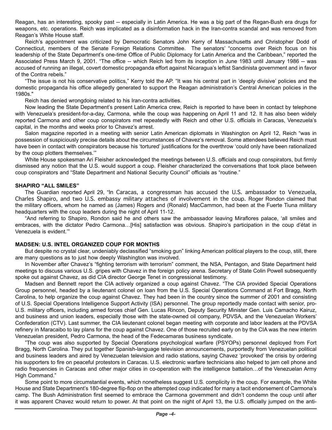Reagan, has an interesting, spooky past -- especially in Latin America. He was a big part of the Regan-Bush era drugs for weapons, etc. operations. Reich was implicated as a disinformation hack in the Iran-contra scandal and was removed from Reagan's White House staff.

Reich's appointment was criticized by Democratic Senators John Kerry of Massachusetts and Christopher Dodd of Connecticut, members of the Senate Foreign Relations Committee. The senators' "concerns over Reich focus on his leadership of the State Department's one-time Office of Public Diplomacy for Latin America and the Caribbean," reported the Associated Press March 9, 2001. "The office -- which Reich led from its inception in June 1983 until January 1986 -- was accused of running an illegal, covert domestic propaganda effort against Nicaragua's leftist Sandinista government and in favor of the Contra rebels."

"The issue is not his conservative politics," Kerry told the AP. "It was his central part in 'deeply divisive' policies and the domestic propaganda his office allegedly generated to support the Reagan administration's Central American policies in the 1980s."

Reich has denied wrongdoing related to his Iran-contra activities.

Now leading the State Department's present Latin America crew, Reich is reported to have been in contact by telephone with Venezuela's president-for-a-day, Carmona, while the coup was happening on April 11 and 12. It has also been widely reported Carmona and other coup conspirators met repeatedly with Reich and other U.S. officials in Caracas, Venezuela's capital, in the months and weeks prior to Chavez's arrest.

Salon magazine reported in a meeting with senior Latin American diplomats in Washington on April 12, Reich "was in possession of suspiciously precise details about the circumstances of Chavez's removal. Some attendees believed Reich must have been in contact with conspirators because his 'tortured' justifications for the overthrow 'could only have been rationalized by the coup plotters themselves.'"

White House spokesman Ari Fleisher acknowledged the meetings between U.S. officials and coup conspirators, but firmly dismissed any notion that the U.S. would support a coup. Fleisher characterized the conversations that took place between coup conspirators and "State Department and National Security Council" officials as "routine."

#### **SHAPIRO "ALL SMILES"**

The Guardian reported April 29, "In Caracas, a congressman has accused the U.S. ambassador to Venezuela, Charles Shapiro, and two U.S. embassy military attaches of involvement in the coup. Roger Rondon claimed that the military officers, whom he named as (James) Rogers and (Ronald) MacCammon, had been at the Fuerte Tiuna military headquarters with the coup leaders during the night of April 11-12.

"And referring to Shapiro, Rondon said he and others saw the ambassador leaving Miraflores palace, 'all smiles and embraces, with the dictator Pedro Carmona…[His] satisfaction was obvious. Shapiro's participation in the coup d'état in Venezuela is evident.'"

#### **MADSEN: U.S. INTEL ORGANIZED COUP FOR MONTHS**

But despite no crystal clear, undeniably declassified "smoking gun" linking American political players to the coup, still, there are many questions as to just how deeply Washington was involved.

In November after Chavez's "fighting terrorism with terrorism" comment, the NSA, Pentagon, and State Department held meetings to discuss various U.S. gripes with Chavez in the foreign policy arena. Secretary of State Colin Powell subsequently spoke out against Chavez, as did CIA director George Tenet in congressional testimony.

Madsen and Bennett report the CIA actively organized a coup against Chavez. "The CIA provided Special Operations Group personnel, headed by a lieutenant colonel on loan from the U.S. Special Operations Command at Fort Bragg, North Carolina, to help organize the coup against Chavez. They had been in the country since the summer of 2001 and consisting of U.S. Special Operations Intelligence Support Activity (ISA) personnel. The group reportedly made contact with senior, pro-U.S. military officers, including armed forces chief Gen. Lucas Rincon, Deputy Security Minister Gen. Luis Camacho Kairuz, and business and union leaders, especially those with the state-owned oil company, PDVSA, and the Venezuelan Workers' Confederation (CTV). Last summer, the CIA lieutenant colonel began meeting with corporate and labor leaders at the PDVSA refinery in Maracaibo to lay plans for the coup against Chavez. One of those recruited early on by the CIA was the new interim Venezuelan president, Pedro Carmona, the head of the Fedecamaras business syndicate.

"The coup was also supported by Special Operations psychological warfare (PSYOPs) personnel deployed from Fort Bragg, North Carolina. They put together Spanish-language television announcements, purportedly from Venezuelan political and business leaders and aired by Venezuelan television and radio stations, saying Chavez 'provoked' the crisis by ordering his supporters to fire on peaceful protestors in Caracas. U.S. electronic warfare technicians also helped to jam cell phone and radio frequencies in Caracas and other major cities in co-operation with the intelligence battalion…of the Venezuelan Army High Command."

Some point to more circumstantial events, which nonetheless suggest U.S. complicity in the coup. For example, the White House and State Department's 180-degree flip-flop on the attempted coup indicated for many a tacit endorsement of Carmona's camp. The Bush Administration first seemed to embrace the Carmona government and didn't condemn the coup until after it was apparent Chavez would return to power. At that point on the night of April 13, the U.S. officially jumped on the anti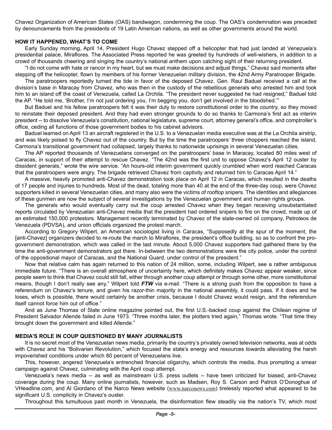Chavez Organization of American States (OAS) bandwagon, condemning the coup. The OAS's condemnation was preceded by denouncements from the presidents of 19 Latin American nations, as well as other governments around the world.

#### **HOW IT HAPPENED, WHAT'S TO COME**

Early Sunday morning, April 14, President Hugo Chavez stepped off a helicopter that had just landed at Venezuela's presidential palace, Miraflores. The Associated Press reported he was greeted by hundreds of well-wishers, in addition to a crowd of thousands cheering and singing the country's national anthem upon catching sight of their returning president.

"I do not come with hate or rancor in my heart, but we must make decisions and adjust things," Chavez said moments after stepping off the helicopter, flown by members of his former Venezuelan military division, the 42nd Army Paratrooper Brigade.

The paratroopers reportedly turned the tide in favor of the deposed Chavez. Gen. Raul Baduel received a call at the division's base in Maracay from Chavez, who was then in the custody of the rebellious generals who arrested him and took him to an island off the coast of Venezuela, called La Orchila. "The president never suggested he had resigned," Baduel told the AP. "He told me, 'Brother, I'm not just ordering you, I'm begging you, don't get involved in the bloodshed.'"

But Baduel and his fellow paratroopers felt it was their duty to restore constitutional order to the country, so they moved to reinstate their deposed president. And they had even stronger grounds to do so thanks to Carmona's first act as interim president -- to dissolve Venezuela's constitution, national legislature, supreme court, attorney general's office, and comptroller's office, ceding all functions of those government bodies to his cabinet advisors.

Baduel learned on April 13 an aircraft registered in the U.S. to a Venezuelan media executive was at the La Orchila airstrip, and was likely poised to fly Chavez out of the country. But by the time the paratroopers' three choppers reached the island, Carmona's transitional government had collapsed, largely thanks to nationwide uprisings in several Venezuelan cities.

The AP reported thousands of Venezuelans converged on the paratroopers' base in Maracay, located 80 miles west of Caracas, in support of their attempt to rescue Chavez. "The 42nd was the first unit to oppose Chavez's April 12 ouster by dissident generals," wrote the wire service. "An hours-old interim government quickly crumbled when word reached Caracas that the paratroopers were angry. The brigade retrieved Chavez from captivity and returned him to Caracas April 14."

A massive, heavily promoted anti-Chavez demonstration took place on April 12 in Caracas, which resulted in the deaths of 17 people and injuries to hundreds. Most of the dead, totaling more than 40 at the end of the three-day coup, were Chavez supporters killed in several Venezuelan cities, and many also were the victims of rooftop snipers. The identities and allegiances of these gunmen are now the subject of several investigations by the Venezuelan government and human rights groups.

The generals who would eventually carry out the coup arrested Chavez when they began receiving unsubstantiated reports circulated by Venezuelan anti-Chavez media that the president had ordered snipers to fire on the crowd, made up of an estimated 150,000 protestors. Management recently terminated by Chavez of the state-owned oil company, Petroleos de Venezuela (PDVSA), and union officials organized the protest march.

According to Gregory Wilpert, an American sociologist living in Caracas, "Supposedly at the spur of the moment, the [anti-Chavez] organizers decided to re-route the march to Miraflores, the president's office building, so as to confront the progovernment demonstration, which was called in the last minute. About 5,000 Chavez supporters had gathered there by the time the anti-government demonstrators got there. In-between the two demonstrations were the city police, under the control of the oppositional mayor of Caracas, and the National Guard, under control of the president."

Now that relative calm has again returned to this nation of 24 million, some, including Wilpert, see a rather ambiguous immediate future. "There is an overall atmosphere of uncertainty here, which definitely makes Chavez appear weaker, since people seem to think that Chavez could still fall, either through another coup attempt or through some other, more constitutional means, though I don't really see any," Wilpert told *FTW* via e-mail. "There is a strong push from the opposition to have a referendum on Chavez's tenure, and given his razor-thin majority in the national assembly, it could pass. If it does and he loses, which is possible, there would certainly be another crisis, because I doubt Chavez would resign, and the referendum itself cannot force him out of office."

And as June Thomas of Slate online magazine pointed out, the first U.S.-backed coup against the Chilean regime of President Salvador Allende failed in June 1973. "Three months later, the plotters tried again," Thomas wrote. "That time they brought down the government and killed Allende."

#### **MEDIA'S ROLE IN COUP QUESTIONED BY MANY JOURNALISTS**

It is no secret most of the Venezuelan news media, primarily the country's privately owned television networks, was at odds with Chavez and his "Bolivarian Revolution," which focused the state's energy and resources towards alleviating the harsh impoverished conditions under which 80 percent of Venezuelans live.

This, however, angered Venezuela's entrenched financial oligarchy, which controls the media, thus prompting a smear campaign against Chavez, culminating with the April coup attempt.

Venezuela's news media -- as well as mainstream U.S. press outlets -- have been criticized for biased, anti-Chavez coverage during the coup. Many online journalists, however, such as Madsen, Roy S. Carson and Patrick O'Donoghue of VHeadline.com, and Al Giordano of the Narco News website ([www.narconews.com](http://www.narconews.com)) tirelessly reported what appeared to be significant U.S. complicity in Chavez's ouster.

Throughout this tumultuous past month in Venezuela, the disinformation flew steadily via the nation's TV, which most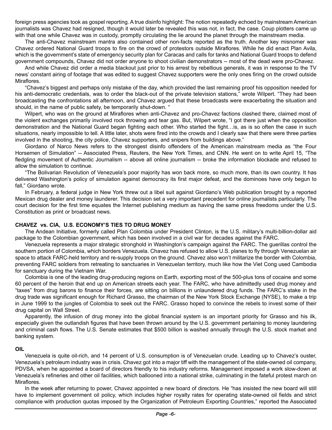foreign press agencies took as gospel reporting. A true disinfo highlight: The notion repeatedly echoed by mainstream American journalists was Chavez had resigned, though it would later be revealed this was not, in fact, the case. Coup plotters came up with that one while Chavez was in custody, promptly circulating the lie around the planet through the mainstream media.

The anti-Chavez mainstream mantra also contained other non-facts reported as the truth. Another key misnomer was Chavez ordered National Guard troops to fire on the crowd of protestors outside Miraflores. While he did enact Plan Avila, which is the government's state of emergency security plan for Caracas and calls for tanks and National Guard troops to defend government compounds, Chavez did not order anyone to shoot civilian demonstrators -- most of the dead were pro-Chavez.

And while Chavez did order a media blackout just prior to his arrest by rebellious generals, it was in response to the TV news' constant airing of footage that was edited to suggest Chavez supporters were the only ones firing on the crowd outside Miraflores.

"Chavez's biggest and perhaps only mistake of the day, which provided the last remaining proof his opposition needed for his anti-democratic credentials, was to order the black-out of the private television stations," wrote Wilpert. "They had been broadcasting the confrontations all afternoon, and Chavez argued that these broadcasts were exacerbating the situation and should, in the name of public safety, be temporarily shut-down. "

Wilpert, who was on the ground at Miraflores when anti-Chavez and pro-Chavez factions clashed there, claimed most of the violent exchanges primarily involved rock throwing and tear gas. But, Wilpert wrote, "I got there just when the opposition demonstration and the National Guard began fighting each other. Who started the fight…is, as is so often the case in such situations, nearly impossible to tell. A little later, shots were fired into the crowds and I clearly saw that there were three parties involved in the shooting, the city police, Chavez supporters, and snipers from buildings above."

Giordano of Narco News refers to the strongest disinfo offenders of the American mainstream media as "the Four Horsemen of Simulation" -- Associated Press, Reuters, the New York Times, and CNN. He went on to write April 15, "The fledgling movement of Authentic Journalism -- above all online journalism -- broke the information blockade and refused to allow the simulation to continue.

"The Bolivarian Revolution of Venezuela's poor majority has won back more, so much more, than its own country. It has delivered Washington's policy of simulation against democracy its first major defeat, and the dominoes have only begun to fall," Giordano wrote.

In February, a federal judge in New York threw out a libel suit against Giordano's Web publication brought by a reported Mexican drug dealer and money launderer. This decision set a very important precedent for online journalists particularly. The court decision for the first time equates the Internet publishing medium as having the same press freedoms under the U.S. Constitution as print or broadcast news.

#### **CHAVEZ vs. CIA, U.S. ECONOMY'S TIES TO DRUG MONEY**

The Andean Initiative, formerly called Plan Colombia under President Clinton, is the U.S. military's multi-billion-dollar aid package to the Colombian government, which has been involved in a civil war for decades against the FARC.

Venezuela represents a major strategic stronghold in Washington's campaign against the FARC. The guerillas control the southern portion of Colombia, which borders Venezuela. Chavez has refused to allow U.S. planes to fly through Venezuelan air space to attack FARC-held territory and re-supply troops on the ground. Chavez also won't militarize the border with Colombia, preventing FARC soldiers from retreating to sanctuaries in Venezuelan territory, much like how the Viet Cong used Cambodia for sanctuary during the Vietnam War.

Colombia is one of the leading drug-producing regions on Earth, exporting most of the 500-plus tons of cocaine and some 60 percent of the heroin that end up on American streets each year. The FARC, who have admittedly used drug money and "taxes" from drug barons to finance their forces, are sitting on billions in unlaundered drug funds. The FARC's stake in the drug trade was significant enough for Richard Grasso, the chairman of the New York Stock Exchange (NYSE), to make a trip in June 1999 to the jungles of Colombia to seek out the FARC. Grasso hoped to convince the rebels to invest some of their drug capital on Wall Street.

Apparently, the infusion of drug money into the global financial system is an important priority for Grasso and his ilk, especially given the outlandish figures that have been thrown around by the U.S. government pertaining to money laundering and criminal cash flows. The U.S. Senate estimates that \$500 billion is washed annually through the U.S. stock market and banking system.

#### **OIL**

Venezuela is quite oil-rich, and 14 percent of U.S. consumption is of Venezuelan crude. Leading up to Chavez's ouster, Venezuela's petroleum industry was in crisis. Chavez got into a major tiff with the management of the state-owned oil company, PDVSA, when he appointed a board of directors friendly to his industry reforms. Management imposed a work slow-down at Venezuela's refineries and other oil facilities, which ballooned into a national strike, culminating in the fateful protest march on Miraflores.

In the week after returning to power, Chavez appointed a new board of directors. He "has insisted the new board will still have to implement government oil policy, which includes higher royalty rates for operating state-owned oil fields and strict compliance with production quotas imposed by the Organization of Petroleum Exporting Countries," reported the Associated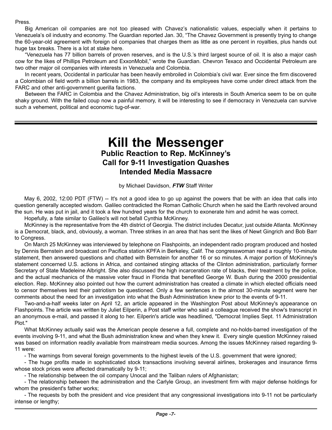Press.

Big American oil companies are not too pleased with Chavez's nationalistic values, especially when it pertains to Venezuela's oil industry and economy. The Guardian reported Jan. 30, "The Chavez Government is presently trying to change the 60-year-old agreement with foreign oil companies that charges them as little as one percent in royalties, plus hands out huge tax breaks. There is a lot at stake here.

"Venezuela has 77 billion barrels of proven reserves, and is the U.S.'s third largest source of oil. It is also a major cash cow for the likes of Phillips Petroleum and ExxonMobil," wrote the Guardian. Chevron Texaco and Occidental Petroleum are two other major oil companies with interests in Venezuela and Colombia.

In recent years, Occidental in particular has been heavily embroiled in Colombia's civil war. Ever since the firm discovered a Colombian oil field worth a billion barrels in 1983, the company and its employees have come under direct attack from the FARC and other anti-government guerilla factions.

Between the FARC in Colombia and the Chavez Administration, big oil's interests in South America seem to be on quite shaky ground. With the failed coup now a painful memory, it will be interesting to see if democracy in Venezuela can survive such a vehement, political and economic tug-of-war.

## **Kill the Messenger Public Reaction to Rep. McKinney's Call for 9-11 Investigation Quashes Intended Media Massacre**

by Michael Davidson, *FTW* Staff Writer

May 6, 2002, 12:00 PDT (FTW) -- It's not a good idea to go up against the powers that be with an idea that calls into question generally accepted wisdom. Galileo contradicted the Roman Catholic Church when he said the Earth revolved around the sun. He was put in jail, and it took a few hundred years for the church to exonerate him and admit he was correct.

Hopefully, a fate similar to Galileo's will not befall Cynthia McKinney.

McKinney is the representative from the 4th district of Georgia. The district includes Decatur, just outside Atlanta. McKinney is a Democrat, black, and, obviously, a woman. Three strikes in an area that has sent the likes of Newt Gingrich and Bob Barr to Congress.

On March 25 McKinney was interviewed by telephone on Flashpoints, an independent radio program produced and hosted by Dennis Bernstein and broadcast on Pacifica station KPFA in Berkeley, Calif. The congresswoman read a roughly 10-minute statement, then answered questions and chatted with Bernstein for another 16 or so minutes. A major portion of McKinney's statement concerned U.S. actions in Africa, and contained stinging attacks of the Clinton administration, particularly former Secretary of State Madeleine Albright. She also discussed the high incarceration rate of blacks, their treatment by the police, and the actual mechanics of the massive voter fraud in Florida that benefited George W. Bush during the 2000 presidential election. Rep. McKinney also pointed out how the current administration has created a climate in which elected officials need to censor themselves lest their patriotism be questioned. Only a few sentences in the almost 30-minute segment were her comments about the need for an investigation into what the Bush Administration knew prior to the events of 9-11.

Two-and-a-half weeks later on April 12, an article appeared in the Washington Post about McKinney's appearance on Flashpoints. The article was written by Juliet Eilperin, a Post staff writer who said a colleague received the show's transcript in an anonymous e-mail, and passed it along to her. Eilperin's article was headlined, "Democrat Implies Sept. 11 Administration Plot."

What McKinney actually said was the American people deserve a full, complete and no-holds-barred investigation of the events involving 9-11, and what the Bush administration knew and when they knew it. Every single question McKinney raised was based on information readily available from mainstream media sources. Among the issues McKinney raised regarding 9- 11 were:

- The warnings from several foreign governments to the highest levels of the U.S. government that were ignored;

- The huge profits made in sophisticated stock transactions involving several airlines, brokerages and insurance firms whose stock prices were affected dramatically by 9-11;

- The relationship between the oil company Unocal and the Taliban rulers of Afghanistan;

- The relationship between the administration and the Carlyle Group, an investment firm with major defense holdings for whom the president's father works;

- The requests by both the president and vice president that any congressional investigations into 9-11 not be particularly intense or lengthy;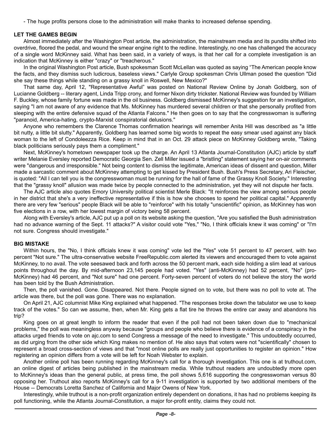- The huge profits persons close to the administration will make thanks to increased defense spending.

#### **LET THE GAMES BEGIN**

Almost immediately after the Washington Post article, the administration, the mainstream media and its pundits shifted into overdrive, floored the pedal, and wound the smear engine right to the redline. Interestingly, no one has challenged the accuracy of a single word McKinney said. What has been said, in a variety of ways, is that her call for a complete investigation is an indication that McKinney is either "crazy" or "treacherous."

In the original Washington Post article, Bush spokesman Scott McLellan was quoted as saying "The American people know the facts, and they dismiss such ludicrous, baseless views." Carlyle Group spokesman Chris Ullman posed the question "Did she say these things while standing on a grassy knoll in Roswell, New Mexico?"

That same day, April 12, "Representative Awful" was posted on National Review Online by Jonah Goldberg, son of Lucianne Goldberg -- literary agent, Linda Tripp crony, and former Nixon dirty trickster. National Review was founded by William F. Buckley, whose family fortune was made in the oil business. Goldberg dismissed McKinney's suggestion for an investigation, saying "I am not aware of any evidence that Ms. McKinney has murdered several children or that she personally profited from sleeping with the entire defensive squad of the Atlanta Falcons." He then goes on to say that the congresswoman is suffering "paranoid, America-hating, crypto-Marxist conspiratorial delusions."

Anyone who remembers the Clarence Thomas confirmation hearings will remember Anita Hill was described as "a little bit nutty, a little bit slutty." Apparently, Goldberg has learned some big words to repeat the easy smear used against any black woman to the left of Condoleezza Rice. Keep in mind that in an Oct. 29 attack piece on McKinney Goldberg wrote, "Taking black politicians seriously pays them a compliment."

Next, McKinney's hometown newspaper took up the charge. An April 13 Atlanta Journal-Constitution (AJC) article by staff writer Melanie Eversley reported Democratic Georgia Sen. Zell Miller issued a "bristling" statement saying her on-air comments were "dangerous and irresponsible." Not being content to dismiss the legitimate, American ideas of dissent and question, Miller made a sarcastic comment about McKinney attempting to get kissed by President Bush. Bush's Press Secretary, Ari Fleischer, is quoted: "All I can tell you is the congresswoman must be running for the hall of fame of the Grassy Knoll Society." Interesting that the "grassy knoll" allusion was made twice by people connected to the administration, yet they will not dispute her facts.

The AJC article also quotes Emory University political scientist Merle Black: "It reinforces the view among serious people in her district that she's a very ineffective representative if this is how she chooses to spend her political capital." Apparently there are very few "serious" people Black will be able to "reinforce" with his totally "unscientific" opinion, as McKinney has won five elections in a row, with her lowest margin of victory being 58 percent.

Along with Eversley's article, AJC put up a poll on its website asking the question, "Are you satisfied the Bush administration had no advance warning of the Sept. 11 attacks?" A visitor could vote "Yes," "No, I think officials knew it was coming" or "I'm not sure. Congress should investigate."

#### **BIG MISTAKE**

Within hours, the "No, I think officials knew it was coming" vote led the "Yes" vote 51 percent to 47 percent, with two percent "Not sure." The ultra-conservative website FreeRepublic.com alerted its viewers and encouraged them to vote against McKinney, to no avail. The vote seesawed back and forth across the 50 percent mark, each side holding a slim lead at various points throughout the day. By mid-afternoon 23,145 people had voted. "Yes" (anti-McKinney) had 52 percent, "No" (pro-McKinney) had 46 percent, and "Not sure" had one percent. Forty-seven percent of voters do not believe the story the world has been told by the Bush Administration.

Then, the poll vanished. Gone. Disappeared. Not there. People signed on to vote, but there was no poll to vote at. The article was there, but the poll was gone. There was no explanation.

On April 21, AJC columnist Mike King explained what happened. "The responses broke down the tabulator we use to keep track of the votes." So can we assume, then, when Mr. King gets a flat tire he throws the entire car away and abandons his trip?

King goes on at great length to inform the reader that even if the poll had not been taken down due to "mechanical problems," the poll was meaningless anyway because "groups and people who believe there is evidence of a conspiracy in the attacks urged friends to vote on ajc.com to send Congress a message of the need to investigate." This undoubtedly occurred, as did urging from the other side which King makes no mention of. He also says that voters were not "scientifically" chosen to represent a broad cross-section of views and that "most online polls are really just opportunities to register an opinion." How registering an opinion differs from a vote will be left for Noah Webster to explain.

Another online poll has been running regarding McKinney's call for a thorough investigation. This one is at truthout.com, an online digest of articles being published in the mainstream media. While truthout readers are undoubtedly more open to McKinney's ideas than the general public, at press time, the poll shows 5,616 supporting the congresswoman versus 80 opposing her. Truthout also reports McKinney's call for a 9-11 investigation is supported by two additional members of the House -- Democrats Loretta Sanchez of California and Major Owens of New York.

Interestingly, while truthout is a non-profit organization entirely dependent on donations, it has had no problems keeping its poll functioning, while the Atlanta Journal-Constitution, a major for-profit entity, claims they could not.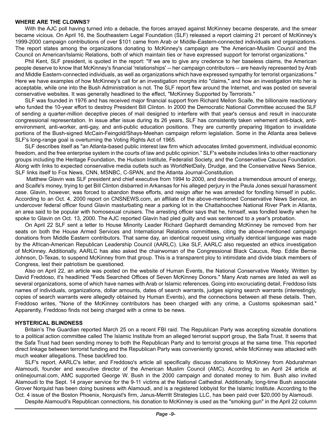#### **WHERE ARE THE CLOWNS?**

With the AJC poll having turned into a debacle, the forces arrayed against McKinney became desperate, and the smear became vicious. On April 16, the Southeastern Legal Foundation (SLF) released a report claiming 21 percent of McKinney's 1999-2000 campaign contributions of over \$101 came from Arab or Middle-Eastern-connected individuals and organizations. The report states among the organizations donating to McKinney's campaign are "the American-Muslim Council and the Council on American/Islamic Relations, both of which maintain ties or have expressed support for terrorist organizations."

Phil Kent, SLF president, is quoted in the report: "If we are to give any credence to her baseless claims, the American people deserve to know that McKinney's financial 'relationships' -- her campaign contributors -- are heavily represented by Arab and Middle Eastern-connected individuals, as well as organizations which have expressed sympathy for terrorist organizations." Here we have examples of how McKinney's call for an investigation morphs into "claims," and how an investigation into her is acceptable, while one into the Bush Administration is not. The SLF report flew around the Internet, and was posted on several conservative websites. It was generally headlined to the effect, "McKinney Supported by Terrorists."

SLF was founded in 1976 and has received major financial support from Richard Mellon Scaife, the billionaire reactionary who funded the 10-year effort to destroy President Bill Clinton. In 2000 the Democratic National Committee accused the SLF of sending a quarter-million deceptive pieces of mail designed to interfere with that year's census and result in inaccurate congressional representation. In issue after issue during its 26 years, SLF has consistently taken vehement anti-black, antienvironment, anti-worker, anti-gay, and anti-public education positions. They are currently preparing litigation to invalidate portions of the Bush-signed McCain-Feingold/Shays-Meehan campaign reform legislation. Some in the Atlanta area believe SLF's long-range goal is overturning the Voting Rights Act of 1965.

SLF describes itself as "an Atlanta-based public interest law firm which advocates limited government, individual economic freedom, and the free enterprise system in the courts of law and public opinion." SLF's website includes links to other reactionary groups including the Heritage Foundation, the Hudson Institute, Federalist Society, and the Conservative Caucus Foundation. Along with links to expected conservative media outlets such as WorldNetDaily, Drudge, and the Conservative News Service, SLF links itself to Fox News, CNN, MSNBC, C-SPAN, and the Atlanta Journal-Constitution.

 Matthew Glavin was SLF president and chief executive from 1994 to 2000, and devoted a tremendous amount of energy, and Scaife's money, trying to get Bill Clinton disbarred in Arkansas for his alleged perjury in the Paula Jones sexual harassment case. Glavin, however, was forced to abandon these efforts, and resign after he was arrested for fondling himself in public. According to an Oct. 4, 2000 report on CNSNEWS.com, an affiliate of the above-mentioned Conservative News Service, an undercover federal officer found Glavin masturbating near a parking lot in the Chattahoochee National River Park in Atlanta, an area said to be popular with homosexual cruisers. The arresting officer says that he, himself, was fondled lewdly when he spoke to Glavin on Oct. 13, 2000. The AJC reported Glavin had pled guilty and was sentenced to a year's probation.

On April 22 SLF sent a letter to House Minority Leader Richard Gephardt demanding McKinney be removed from her seats on both the House Armed Services and International Relations committees, citing the above-mentioned campaign donations from Middle Eastern contributors. That same day, an identical request using virtually identical language was made by the African-American Republican Leadership Council (AARLC). Like SLF, AARLC also requested an ethics investigation of McKinney. Additionally, AARLC has also asked the chairwoman of the Congressional Black Caucus, Rep. Eddie Bernie Johnson, D-Texas, to suspend McKinney from that group. This is a transparent ploy to intimidate and divide black members of Congress, lest their patriotism be questioned.

Also on April 22, an article was posted on the website of Human Events, the National Conservative Weekly. Written by David Freddoso, it's headlined "Feds Searched Offices of Seven McKinney Donors." Many Arab names are listed as well as several organizations, some of which have names with Arab or Islamic references. Going into excruciating detail, Freddoso lists names of individuals, organizations, dollar amounts, dates of search warrants, judges signing search warrants (interestingly, copies of search warrants were allegedly obtained by Human Events), and the connections between all these details. Then, Freddoso writes, "None of the McKinney contributors has been charged with any crime, a Customs spokesman said." Apparently, Freddoso finds not being charged with a crime to be news.

#### **HYSTERICAL BLINDNESS**

Britain's The Guardian reported March 25 on a recent FBI raid. The Republican Party was accepting sizeable donations to a political action committee called The Islamic Institute from an alleged terrorist support group, the Safa Trust. It seems that the Safa Trust had been sending money to both the Republican Party and to terrorist groups at the same time. This reported direct linkage between terrorist funding and the Republican Party was conveniently ignored, while McKinney was attacked with much weaker allegations. These backfired too.

SLF's report, AARLC's letter, and Freddoso's article all specifically discuss donations to McKinney from Abdurahman Alamoudi, founder and executive director of the American Muslim Council (AMC). According to an April 24 article at onlinejournal.com, AMC supported George W. Bush in the 2000 campaign and donated money to him. Bush also invited Alamoudi to the Sept. 14 prayer service for the 9-11 victims at the National Cathedral. Additionally, long-time Bush associate Grover Norquist has been doing business with Alamoudi, and is a registered lobbyist for the Islamic Institute. According to the Oct. 4 issue of the Boston Phoenix, Norquist's firm, Janus-Merritt Strategies LLC, has been paid over \$20,000 by Alamoudi.

Despite Alamoudi's Republican connections, his donation to McKinney is used as the "smoking gun" in the April 22 column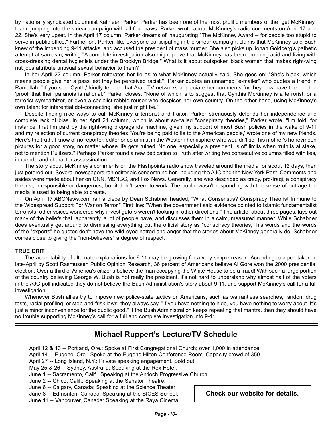by nationally syndicated columnist Kathleen Parker. Parker has been one of the most prolific members of the "get McKinney" team, jumping into the smear campaign with all four paws. Parker wrote about McKinney's radio comments on April 17 and 22. She's very upset. In the April 17 column, Parker dreams of inaugurating "The McKinney Award -- for people too stupid to serve in public office." Further on, Parker, like everyone participating in the smear campaign, claims that McKinney said Bush knew of the impending 9-11 attacks, and accused the president of mass murder. She also picks up Jonah Goldberg's pathetic attempt at sarcasm, writing "A complete investigation also might prove that McKinney has been dropping acid and living with cross-dressing dental hygienists under the Brooklyn Bridge." What is it about outspoken black women that makes right-wing nut jobs attribute unusual sexual behavior to them?

In her April 22 column, Parker reiterates her lie as to what McKinney actually said. She goes on: "She's black, which means people give her a pass lest they be perceived racist." Parker quotes an unnamed "e-mailer" who quotes a friend in Ramallah: "If you see 'Cynth,' kindly tell her that Arab TV networks appreciate her comments for they now have the needed 'proof' that their paranoia is rational." Parker closes: "None of which is to suggest that Cynthia McKinney is a terrorist, or a terrorist sympathizer, or even a socialist rabble-rouser who despises her own country. On the other hand, using McKinney's own talent for inferential dot-connecting, she just might be."

Despite finding nice ways to call McKinney a terrorist and traitor, Parker strenuously defends her independence and complete lack of bias. In her April 24 column, which is about so-called "conspiracy theories," Parker wrote, "I'm told, for instance, that I'm paid by the right-wing propaganda machine, given my support of most Bush policies in the wake of 9-11 and my rejection of current conspiracy theories.'You're being paid to lie to the American people,' wrote one of my new friends. Here's the truth: I know of no reporter, editor or columnist in the Western hemisphere who wouldn't sell his mother's honeymoon pictures for a good story, no matter whose life gets ruined. No one, especially a president, is off limits when truth is at stake, not to mention Pulitzers." Perhaps Parker found a new dedication to Truth after writing two consecutive columns filled with lies, innuendo and character assassination.

The story about McKinney's comments on the Flashpoints radio show traveled around the media for about 12 days, then just petered out. Several newspapers ran editorials condemning her, including the AJC and the New York Post. Comments and asides were made about her on CNN, MSNBC, and Fox News. Generally, she was described as crazy, pro-Iraqi, a conspiracy theorist, irresponsible or dangerous, but it didn't seem to work. The public wasn't responding with the sense of outrage the media is used to being able to create.

On April 17 ABCNews.com ran a piece by Dean Schabner headed, "What Consensus? Conspiracy Theorist Immune to the Widespread Support For War on Terror." First line: "When the government said evidence pointed to Islamic fundamentalist terrorists, other voices wondered why investigators weren't looking in other directions." The article, about three pages, lays out many of the beliefs that, apparently, a lot of people have, and discusses them in a calm, measured manner. While Schabner does eventually get around to dismissing everything but the official story as "conspiracy theories," his words and the words of the "experts" he quotes don't have the wild-eyed hatred and anger that the stories about McKinney generally do. Schabner comes close to giving the "non-believers" a degree of respect.

#### **TRUE GRIT**

The acceptability of alternate explanations for 9-11 may be growing for a very simple reason. According to a poll taken in late-April by Scott Rasmussen Public Opinion Research, 36 percent of Americans believe Al Gore won the 2000 presidential election. Over a third of America's citizens believe the man occupying the White House to be a fraud! With such a large portion of the country believing George W. Bush is not really the president, it's not hard to understand why almost half of the voters in the AJC poll indicated they do not believe the Bush Administration's story about 9-11, and support McKinney's call for a full investigation.

Whenever Bush allies try to impose new police-state tactics on Americans, such as warrantless searches, random drug tests, racial profiling, or stop-and-frisk laws, they always say, "If you have nothing to hide, you have nothing to worry about. It's just a minor inconvenience for the public good." If the Bush Administration keeps repeating that mantra, then they should have no trouble supporting McKinney's call for a full and complete investigation into 9-11.

## **Michael Ruppert's Lecture/TV Schedule**

April 12 & 13 -- Portland, Ore.: Spoke at First Congregational Church; over 1,000 in attendance.

April 14 -- Eugene, Ore.: Spoke at the Eugene Hilton Conference Room. Capacity crowd of 350.

April 27 -- Long Island, N.Y.: Private speaking engagement. Sold out.

May 25 & 26 -- Sydney, Australia: Speaking at the Rex Hotel.

June 1 -- Sacramento, Calif.: Speaking at the Antioch Progressive Church.

June 2 -- Chico, Calif.: Speaking at the Senator Theatre.

June 6 -- Calgary, Canada: Speaking at the Science Theater

June 8 -- Edmonton, Canada: Speaking at the SICES School.

June 11 -- Vancouver, Canada: Speaking at the Raya Cinema.

**Check our website for details.**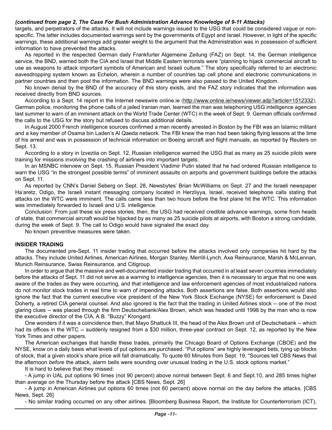#### *(continued from page 2, The Case For Bush Administration Advance Knowledge of 9-11 Attacks)*

targets, and perpetrators of the attacks. It will not include warnings issued to the USG that could be considered vague or nonspecific. The latter includes documented warnings sent by the governments of Egypt and Israel. However, in light of the specific warnings, these additional warnings add greater weight to the argument that the Administration was in possession of sufficient information to have prevented the attacks.

As reported in the respected German daily Frankfurter Algemeine Zeitung (FAZ) on Sept. 14, the German intelligence service, the BND, warned both the CIA and Israel that Middle Eastern terrorists were "planning to hijack commercial aircraft to use as weapons to attack important symbols of American and Israeli culture." The story specifically referred to an electronic eavesdropping system known as Echelon, wherein a number of countries tap cell phone and electronic communications in partner countries and then pool the information. The BND warnings were also passed to the United Kingdom.

No known denial by the BND of the accuracy of this story exists, and the FAZ story indicates that the information was received directly from BND sources.

According to a Sept. 14 report in the Internet newswire online.ie [\(http://www.online.ie/news/viewer.adp?article=1512332\)](http://www.online.ie/news/viewer.adp?article=1512332), German police, monitoring the phone calls of a jailed Iranian man, learned the man was telephoning USG intelligence agencies last summer to warn of an imminent attack on the World Trade Center (WTC) in the week of Sept. 9. German officials confirmed the calls to the USG for the story but refused to discuss additional details.

In August 2000 French intelligence sources confirmed a man recently arrested in Boston by the FBI was an Islamic militant and a key member of Osama bin Laden's Al Qaeda network. The FBI knew the man had been taking flying lessons at the time of his arrest and was in possession of technical information on Boeing aircraft and flight manuals, as reported by Reuters on Sept. 13.

According to a story in Izveztia on Sept. 12, Russian intelligence warned the USG that as many as 25 suicide pilots were training for missions involving the crashing of airliners into important targets.

In an MSNBC interview on Sept. 15, Russian President Vladimir Putin stated that he had ordered Russian intelligence to warn the USG "in the strongest possible terms" of imminent assaults on airports and government buildings before the attacks on Sept. 11.

As reported by CNN's Daniel Seberg on Sept. 28, Newsbytes' Brian McWilliams on Sept. 27 and the Israeli newspaper Ha'aretz, Odigo, the Israeli instant messaging company located in Herzliyya, Israel, received telephone calls stating that attacks on the WTC were imminent. The calls came less than two hours before the first plane hit the WTC. This information was immediately forwarded to Israeli and U.S. intelligence.

Conclusion: From just these six press stories, then, the USG had received credible advance warnings, some from heads of state, that commercial aircraft would be hijacked by as many as 25 suicide pilots at airports, with Boston a strong candidate, during the week of Sept. 9. The call to Odigo would have signaled the exact day.

No known preventive measures were taken.

#### **INSIDER TRADING**

The documented pre-Sept. 11 insider trading that occurred before the attacks involved only companies hit hard by the attacks. They include United Airlines, American Airlines, Morgan Stanley, Merrill-Lynch, Axa Reinsurance, Marsh & McLennan, Munich Reinsurance, Swiss Reinsurance, and Citigroup.

In order to argue that the massive and well-documented insider trading that occurred in at least seven countries immediately before the attacks of Sept. 11 did not serve as a warning to intelligence agencies, then it is necessary to argue that no one was aware of the trades as they were occurring, and that intelligence and law enforcement agencies of most industrialized nations do not monitor stock trades in real time to warn of impending attacks. Both assertions are false. Both assertions would also ignore the fact that the current executive vice president of the New York Stock Exchange (NYSE) for enforcement is David Doherty, a retired CIA general counsel. And also ignored is the fact that the trading in United Airlines stock -- one of the most glaring clues -- was placed through the firm Deutschebank/Alex Brown, which was headed until 1998 by the man who is now the executive director of the CIA, A.B. "Buzzy" Krongard.

One wonders if it was a coincidence then, that Mayo Shattuck III, the head of the Alex Brown unit of Deutschebank -- which had its offices in the WTC -- suddenly resigned from a \$30 million, three-year contract on Sept. 12, as reported by the New York Times and other papers.

The American exchanges that handle these trades, primarily the Chicago Board of Options Exchange (CBOE) and the NYSE, know on a daily basis what levels of put options are purchased. "Put options" are highly leveraged bets, tying up blocks of stock, that a given stock's share price will fall dramatically. To quote 60 Minutes from Sept. 19, "Sources tell CBS News that the afternoon *before* the attack, alarm bells were sounding over unusual trading in the U.S. stock options market."

It is hard to believe that they missed:

- A jump in UAL put options 90 times (not 90 percent) above normal between Sept. 6 and Sept.10, and 285 times higher than average on the Thursday before the attack [CBS News, Sept. 26]

- A jump in American Airlines put options 60 times (not 60 percent) above normal on the day before the attacks. [CBS News, Sept. 26]

- No similar trading occurred on any other airlines. [Bloomberg Business Report, the Institute for Counterterrorism (ICT),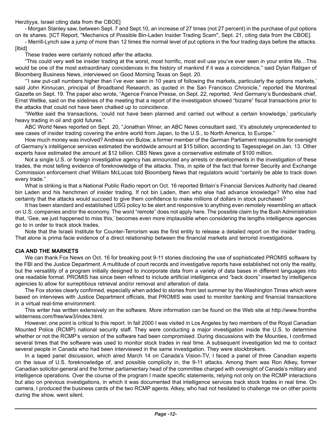Herzliyya, Israel citing data from the CBOE]

- Morgan Stanley saw, between Sept. 7 and Sept.10, an increase of 27 times (not 27 percent) in the purchase of put options on its shares. [ICT Report, "Mechanics of Possible Bin-Laden Insider Trading Scam", Sept. 21, citing data from the CBOE].

- Merrill-Lynch saw a jump of more than 12 times the normal level of put options in the four trading days before the attacks. [Ibid]

These trades were certainly noticed *after* the attacks.

"This could very well be insider trading at the worst, most horrific, most evil use you've ever seen in your entire life…This would be one of the most extraordinary coincidences in the history of mankind if it was a coincidence," said Dylan Ratigan of Bloomberg Business News, interviewed on Good Morning Texas on Sept. 20.

"'I saw put-call numbers higher than I've ever seen in 10 years of following the markets, particularly the options markets,' said John Kinnucan, principal of Broadband Research, as quoted in the San Francisco Chronicle," reported the Montreal Gazette on Sept. 19. The paper also wrote, "Agence France Presse, on Sept. 22, reported, 'And Germany's Bundesbank chief, Ernst Weltke, said on the sidelines of the meeting that a report of the investigation showed "bizarre" fiscal transactions prior to the attacks that could not have been chalked up to coincidence.

"Weltke said the transactions, 'could not have been planned and carried out without a certain knowledge,' particularly heavy trading in oil and gold futures."

ABC World News reported on Sept. 20, "Jonathan Winer, an ABC News consultant said, 'it's absolutely unprecedented to see cases of insider trading covering the entire world from Japan, to the U.S., to North America, to Europe."

How much money was involved? Andreas von Bulow, a former member of the German Parliament responsible for oversight of Germany's intelligence services estimated the worldwide amount at \$15 billion, according to Tagesspiegel on Jan. 13. Other experts have estimated the amount at \$12 billion. CBS News gave a conservative estimate of \$100 million.

Not a single U.S. or foreign investigative agency has announced any arrests or developments in the investigation of these trades, the most telling evidence of foreknowledge of the attacks. This, in spite of the fact that former Security and Exchange Commission enforcement chief William McLucas told Bloomberg News that regulators would "certainly be able to track down every trade."

What is striking is that a National Public Radio report on Oct. 16 reported Britain's Financial Services Authority had cleared bin Laden and his henchmen of insider trading. If not bin Laden, then who else had advance knowledge? Who else had certainty that the attacks would succeed to give them confidence to make millions of dollars in stock purchases?

It has been standard and established USG policy to be alert and responsive to anything even remotely resembling an attack on U.S. companies and/or the economy. The word "remote" does not apply here. The possible claim by the Bush Administration that, 'Gee, we just happened to miss this,' becomes even more implausible when considering the lengths intelligence agencies go to in order to track stock trades.

Note that the Israeli Institute for Counter-Terrorism was the first entity to release a detailed report on the insider trading. That alone is prima facie evidence of a direct relationship between the financial markets and terrorist investigations.

#### **CIA AND THE MARKETS**

We can thank Fox News on Oct. 16 for breaking post 9-11 stories disclosing the use of sophisticated PROMIS software by the FBI and the Justice Department. A multitude of court records and investigative reports have established not only the reality, but the versatility of a program initially designed to incorporate data from a variety of data bases in different languages into one readable format. PROMIS has since been refined to include artificial intelligence and "back doors" inserted by intelligence agencies to allow for surreptitious retrieval and/or removal and alteration of data.

The Fox stories clearly confirmed, especially when added to stories from last summer by the Washington Times which were based on interviews with Justice Department officials, that PROMIS was used to monitor banking and financial transactions in a virtual real-time environment.

This writer has written extensively on the software. More information can be found on the Web site at http://www.fromthe wilderness.com/free/ww3/index.html.

However, one point is critical to this report. In fall 2000 I was visited in Los Angeles by two members of the Royal Canadian Mounted Police (RCMP) national security staff. They were conducting a major investigation inside the U.S. to determine whether or not the RCMP's version of the software had been compromised. During discussions with the Mounties, I confirmed several times that the software was used to monitor stock trades in real time. A subsequent investigation led me to contact several people in Canada who had been interviewed in the same investigation. They were stockbrokers.

In a taped panel discussion, which aired March 14 on Canada's Vision-TV, I faced a panel of three Canadian experts on the issue of U.S. foreknowledge of, and possible complicity in, the 9-11 attacks. Among them was Ron Atkey, former Canadian solicitor-general and the former parliamentary head of the committee charged with oversight of Canada's military and intelligence operations. Over the course of the program I made specific statements, relying not only on the RCMP interactions but also on previous investigations, in which it was documented that intelligence services track stock trades in real time. On camera, I produced the business cards of the two RCMP agents. Atkey, who had not hesitated to challenge me on other points during the show, went silent.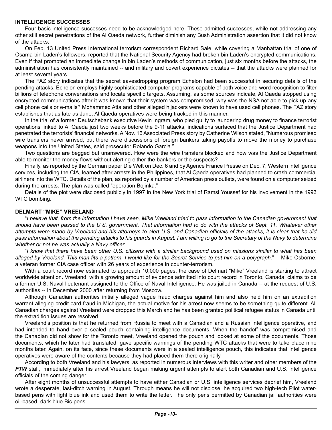#### **INTELLIGENCE SUCCESSES**

Four basic intelligence successes need to be acknowledged here. These admitted successes, while not addressing any other still secret penetrations of the Al Qaeda network, further diminish any Bush Administration assertion that it did not know of the attacks.

On Feb. 13 United Press International terrorism correspondent Richard Sale, while covering a Manhattan trial of one of Osama bin Laden's followers, reported that the National Security Agency had broken bin Laden's encrypted communications. Even if that prompted an immediate change in bin Laden's methods of communication, just six months before the attacks, the administration has consistently maintained -- and military and covert experience dictates -- that the attacks were planned for at least several years.

The FAZ story indicates that the secret eavesdropping program Echelon had been successful in securing details of the pending attacks. Echelon employs highly sophisticated computer programs capable of both voice and word recognition to filter billions of telephone conversations and locate specific targets. Assuming, as some sources indicate, Al Qaeda stopped using encrypted communications after it was known that their system was compromised, why was the NSA not able to pick up any cell phone calls or e-mails? Mohammed Atta and other alleged hijackers were known to have used cell phones. The FAZ story establishes that as late as June, Al Qaeda operatives were being tracked in this manner.

In the trial of a former Deutschebank executive Kevin Ingram, who pled guilty to laundering drug money to finance terrorist operations linked to Al Qaeda just two weeks before the 9-11 attacks, indications surfaced that the Justice Department had penetrated the terrorists' financial networks. A Nov. 16 Associated Press story by Catherine Wilson stated, "Numerous promised wire transfers never arrived, but there were discussions of foreign bankers taking payoffs to move the money to purchase weapons into the United States, said prosecutor Rolando Garcia."

Two questions are begged but unanswered. How were the wire transfers blocked and how was the Justice Department able to monitor the money flows without alerting either the bankers or the suspects?

Finally, as reported by the German paper Die Welt on Dec. 6 and by Agence France Presse on Dec. 7, Western intelligence services, including the CIA, learned after arrests in the Philippines, that Al Qaeda operatives had planned to crash commercial airliners into the WTC. Details of the plan, as reported by a number of American press outlets, were found on a computer seized during the arrests. The plan was called "operation Bojinka."

Details of the plot were disclosed publicly in 1997 in the New York trial of Ramsi Youssef for his involvement in the 1993 WTC bombing.

#### **DELMART "MIKE" VREELAND**

"*I believe that, from the information I have seen, Mike Vreeland tried to pass information to the Canadian government that should have been passed to the U.S. government. That information had to do with the attacks of Sept. 11. Whatever other attempts were made by Vreeland and his attorneys to alert U.S. and Canadian officials of the attacks, it is clear that he did pass information about the pending attacks to his guards in August. I am willing to go to the Secretary of the Navy to determine whether or not he was actually a Navy officer*.

"*I know that there have been other U.S. citizens with a similar background used on missions similar to what has been alleged by Vreeland. This man fits a pattern. I would like for the Secret Service to put him on a polygraph.*" -- Mike Osborne, a veteran former CIA case officer with 26 years of experience in counter-terrorism.

With a court record now estimated to approach 10,000 pages, the case of Delmart "Mike" Vreeland is starting to attract worldwide attention. Vreeland, with a growing amount of evidence admitted into court record in Toronto, Canada, claims to be a former U.S. Naval lieutenant assigned to the Office of Naval Intelligence. He was jailed in Canada -- at the request of U.S. authorities -- in December 2000 after returning from Moscow.

Although Canadian authorities initially alleged vague fraud charges against him and also held him on an extradition warrant alleging credit card fraud in Michigan, the actual motive for his arrest now seems to be something quite different. All Canadian charges against Vreeland were dropped this March and he has been granted political refugee status in Canada until the extradition issues are resolved.

Vreeland's position is that he returned from Russia to meet with a Canadian and a Russian intelligence operative, and had intended to hand over a sealed pouch containing intelligence documents. When the handoff was compromised and the Canadian did not show for the Toronto meet, Vreeland opened the pouch and looked at some of the documents. Those documents, which he later had translated, gave specific warnings of the pending WTC attacks that were to take place nine months later. Again, on its face, since these documents were in a sealed intelligence pouch, this indicates that intelligence operatives were aware of the contents because they had placed them there originally.

According to both Vreeland and his lawyers, as reported in numerous interviews with this writer and other members of the *FTW* staff, immediately after his arrest Vreeland began making urgent attempts to alert both Canadian and U.S. intelligence officials of the coming danger.

After eight months of unsuccessful attempts to have either Canadian or U.S. intelligence services debrief him, Vreeland wrote a desperate, last-ditch warning in August. Through means he will not disclose, he acquired two high-tech Pilot waterbased pens with light blue ink and used them to write the letter. The only pens permitted by Canadian jail authorities were oil-based, dark blue Bic pens.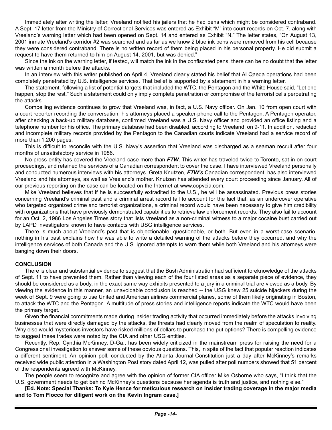Immediately after writing the letter, Vreeland notified his jailers that he had pens which might be considered contraband. A Sept. 17 letter from the Ministry of Correctional Services was entered as Exhibit "M" into court records on Oct. 7, along with Vreeland's warning letter which had been opened on Sept. 14 and entered as Exhibit "N." The letter states, "On August 13, 2001 inmate Vreeland's corridor #2 was searched and as far as we know 2 blue ink pens were removed from his cell because they were considered contraband. There is no written record of them being placed in his personal property. He did submit a request to have them returned to him on August 14, 2001, but was denied."

Since the ink on the warning letter, if tested, will match the ink in the confiscated pens, there can be no doubt that the letter was written a month before the attacks.

In an interview with this writer published on April 4, Vreeland clearly stated his belief that Al Qaeda operations had been completely penetrated by U.S. intelligence services. That belief is supported by a statement in his warning letter.

The statement, following a list of potential targets that included the WTC, the Pentagon and the White House said, "Let one happen, stop the rest." Such a statement could only imply complete penetration or compromise of the terrorist cells perpetrating the attacks.

Compelling evidence continues to grow that Vreeland was, in fact, a U.S. Navy officer. On Jan. 10 from open court with a court reporter recording the conversation, his attorneys placed a speaker-phone call to the Pentagon. A Pentagon operator, after checking a back-up military database, confirmed Vreeland was a U.S. Navy officer and provided an office listing and a telephone number for his office. The primary database had been disabled, according to Vreeland, on 9-11. In addition, redacted and incomplete military records provided by the Pentagon to the Canadian courts indicate Vreeland had a service record of more than 1,200 pages.

This is difficult to reconcile with the U.S. Navy's assertion that Vreeland was discharged as a seaman recruit after four months of unsatisfactory service in 1986.

No press entity has covered the Vreeland case more than *FTW*. This writer has traveled twice to Toronto, sat in on court proceedings, and retained the services of a Canadian correspondent to cover the case. I have interviewed Vreeland personally and conducted numerous interviews with his attorneys. Greta Knutzen, *FTW's* Canadian correspondent, has also interviewed Vreeland and his attorneys, as well as Vreeland's mother. Knutzen has attended every court proceeding since January. All of our previous reporting on the case can be located on the Internet at www.copvcia.com.

Mike Vreeland believes that if he is successfully extradited to the U.S., he will be assassinated. Previous press stories concerning Vreeland's criminal past and a criminal arrest record fail to account for the fact that, as an undercover operative who targeted organized crime and terrorist organizations, a criminal record would have been necessary to give him credibility with organizations that have previously demonstrated capabilities to retrieve law enforcement records. They also fail to account for an Oct. 2, 1986 Los Angeles Times story that lists Vreeland as a non-criminal witness to a major cocaine bust carried out by LAPD investigators known to have contacts with USG intelligence services.

There is much about Vreeland's past that is objectionable, questionable, or both. But even in a worst-case scenario, nothing in his past explains how he was able to write a detailed warning of the attacks before they occurred, and why the intelligence services of both Canada and the U.S. ignored attempts to warn them while both Vreeland and his attorneys were banging down their doors.

#### **CONCLUSION**

There is clear and substantial evidence to suggest that the Bush Administration had sufficient foreknowledge of the attacks of Sept. 11 to have prevented them. Rather than viewing each of the four listed areas as a separate piece of evidence, they should be considered as a body, in the exact same way exhibits presented to a jury in a criminal trial are viewed as a body. By viewing the evidence in this manner, an unavoidable conclusion is reached -- the USG knew 25 suicide hijackers during the week of Sept. 9 were going to use United and American airlines commercial planes, some of them likely originating in Boston, to attack the WTC and the Pentagon. A multitude of press stories and intelligence reports indicate the WTC would have been the primary target.

Given the financial commitments made during insider trading activity that occurred immediately before the attacks involving businesses that were directly damaged by the attacks, the threats had clearly moved from the realm of speculation to reality. Why else would mysterious investors have risked millions of dollars to purchase the put options? There is compelling evidence to suggest these trades were noted by the CIA and other USG entities.

Recently, Rep. Cynthia McKinney, D-Ga., has been widely criticized in the mainstream press for raising the need for a Congressional investigation to answer some of these obvious questions. This, in spite of the fact that popular reaction indicates a different sentiment. An opinion poll, conducted by the Atlanta Journal-Constitution just a day after McKinney's remarks received wide public attention in a Washington Post story dated April 12, was pulled after poll numbers showed that 51 percent of the respondents agreed with McKinney.

The people seem to recognize and agree with the opinion of former CIA officer Mike Osborne who says, "I think that the U.S. government needs to get behind McKinney's questions because her agenda is truth and justice, and nothing else."

**[Ed. Note: Special Thanks: To Kyle Hence for meticulous research on insider trading coverage in the major media and to Tom Flocco for diligent work on the Kevin Ingram case.]**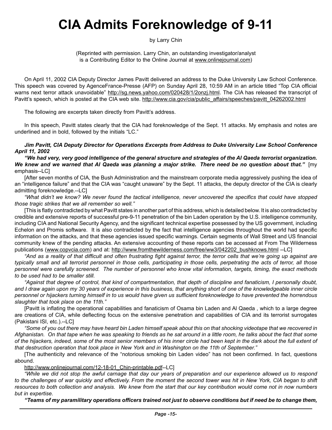# **CIA Admits Foreknowledge of 9-11**

by Larry Chin

(Reprinted with permission. Larry Chin, an outstanding investigator/analyst is a Contributing Editor to the Online Journal at [www.onlinejournal.com\)](http://www.onlinejournal.com)

On April 11, 2002 CIA Deputy Director James Pavitt delivered an address to the Duke University Law School Conference. This speech was covered by AgenceFrance-Presse (AFP) on Sunday April 28, 10:59 AM in an article titled "Top CIA official warns next terror attack unavoidable" <http://sg.news.yahoo.com/020428/1/2onzj.html>. The CIA has released the transcript of Pavitt's speech, which is posted at the CIA web site. [http://www.cia.gov/cia/public\\_affairs/speeches/pavitt\\_04262002.html](http://www.cia.gov/cia/public_affairs/speeches/pavitt_04262002.html)

The following are excerpts taken directly from Pavitt's address.

In this speech, Pavitt states clearly that the CIA had foreknowledge of the Sept. 11 attacks. My emphasis and notes are underlined and in bold, followed by the initials "LC."

*Jim Pavitt, CIA Deputy Director for Operations Excerpts from Address to Duke University Law School Conference April 11, 2002*

*"We had very, very good intelligence of the general structure and strategies of the Al Qaeda terrorist organization. We knew and we warned that Al Qaeda was planning a major strike. There need be no question about that."*[my emphasis--LC]

[After seven months of CIA, the Bush Administration and the mainstream corporate media aggressively pushing the idea of an "intelligence failure" and that the CIA was "caught unaware" by the Sept. 11 attacks, the deputy director of the CIA is clearly admitting foreknowledge.--LC]

*"What didn't we know? We never found the tactical intelligence, never uncovered the specifics that could have stopped those tragic strikes that we all remember so well."* 

[This is flatly contradicted by what Pavitt states in another part of this address, which is detailed below. It is also contradicted by credible and extensive reports of successful pre-9-11 penetration of the bin Laden operation by the U.S. intelligence community, including CIA and National Security Agency, and the significant technical expertise possessed by the US government, including Echelon and Promis software. It is also contradicted by the fact that intelligence agencies throughout the world had specific information on the attacks, and that these agencies issued specific warnings. Certain segments of Wall Street and US financial community knew of the pending attacks. An extensive accounting of these reports can be accessed at From The Wilderness publications [\(www.copvcia.com\)](http://www.copvcia.com) and at: [http://www.fromthewilderness.com/free/ww3/042202\\_bushknows.html](http://www.fromthewilderness.com/free/ww3/042202_bushknows.html) --LC]

*"And as a reality of that difficult and often frustrating fight against terror, the terror cells that we're going up against are typically small and all terrorist personnel in those cells, participating in those cells, perpetrating the acts of terror, all those personnel were carefully screened. The number of personnel who know vital information, targets, timing, the exact methods to be used had to be smaller still.* 

*"Against that degree of control, that kind of compartmentation, that depth of discipline and fanaticism, I personally doubt, and I draw again upon my 30 years of experience in this business, that anything short of one of the knowledgeable inner circle personnel or hijackers turning himself in to us would have given us sufficient foreknowledge to have prevented the horrendous slaughter that took place on the 11th."*

[Pavitt is inflating the operational capabilities and fanaticism of Osama bin Laden and Al Qaeda , which to a large degree are creations of CIA, while deflecting focus on the extensive penetration and capabilities of CIA and its terrorist surrogates (Pakistani ISI, etc.).--LC]

*"Some of you out there may have heard bin Laden himself speak about this on that shocking videotape that we recovered in Afghanistan. On that tape when he was speaking to friends as he sat around in a little room, he talks about the fact that some of the hijackers, indeed, some of the most senior members of his inner circle had been kept in the dark about the full extent of that destruction operation that took place in New York and in Washington on the 11th of September."* 

[The authenticity and relevance of the "notorious smoking bin Laden video" has not been confirmed. In fact, questions abound.

[http://www.onlinejournal.com/12-18-01\\_Chin-printable.pdf-](CIA%20admits%20foreknowledge%20of%209%20-%20Chin.doc)-LC]

*"While we did not stop the awful carnage that day our years of preparation and our experience allowed us to respond*  to the challenges of war quickly and effectively. From the moment the second tower was hit in New York, CIA began to shift *resources to both collection and analysis. We knew from the start that our key contribution would come not in now numbers but in expertise.*

*"Teams of my paramilitary operations officers trained not just to observe conditions but if need be to change them,*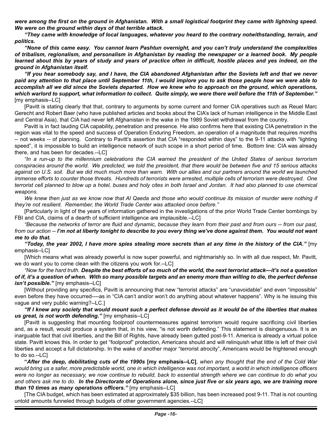*were among the first on the ground in Afghanistan. With a small logistical footprint they came with lightning speed. We were on the ground within days of that terrible attack.* 

*"They came with knowledge of local languages, whatever you heard to the contrary notwithstanding, terrain, and politics.* 

*"None of this came easy. You cannot learn Pashtun overnight, and you can't truly understand the complexities of tribalism, regionalism, and personalism in Afghanistan by reading the newspaper or a learned book. My people*  learned about this by years of study and years of practice often in difficult, hostile places and yes indeed, on the *ground in Afghanistan itself.*

*"If you hear somebody say, and I have, the CIA abandoned Afghanistan after the Soviets left and that we never paid any attention to that place until September 11th, I would implore you to ask those people how we were able to accomplish all we did since the Soviets departed. How we knew who to approach on the ground, which operations, which warlord to support, what information to collect. Quite simply, we were there well before the 11th of September."* [my emphasis--LC]

[Pavitt is stating clearly that that, contrary to arguments by some current and former CIA operatives such as Reuel Marc Gerecht and Robert Baer (who have published articles and books about the CIA's lack of human intelligence in the Middle East and Central Asia), that CIA had never left Afghanistan in the wake in the 1989 Soviet withdrawal from the country.

Pavitt is in fact lauding CIA capability, penetration and presence. He also confirms here that existing CIA penetration in the region was vital to the speed and success of Operation Enduring Freedom, an operation of a magnitude that requires months -- not weeks -- of planning. Contrary to Pavitt's assertion that CIA "responded within days" to the 9-11 attacks with "lighting speed", it is impossible to build an intelligence network of such scope in a short period of time. Bottom line: CIA was already there, and has been for decades.--LC]

*"In a run-up to the millennium celebrations the CIA warned the president of the United States of serious terrorism conspiracies around the world. We predicted, we told the president, that there would be between five and 15 serious attacks against on U.S. soil. But we did much much more than warn. With our allies and our partners around the world we launched immense efforts to counter those threats. Hundreds of terrorists were arrested, multiple cells of terrorism were destroyed. One terrorist cell planned to blow up a hotel, buses and holy cites in both Israel and Jordan. It had also planned to use chemical weapons.* 

We knew then just as we know now that AI Qaeda and those who would continue its mission of murder were nothing if *they're not resilient. Remember, the World Trade Center was attacked once before."*

[Particularly in light of the years of information gathered in the investigations of the prior World Trade Center bombings by FBI and CIA, claims of a dearth of sufficient intelligence are implausible.--LC]

*"Because the networks of terror are fluid and dynamic, because they learn from their past and from ours -- from our past, from our action -- I'm not at liberty tonight to describe to you every thing we've done against them. You would not want me to do that.* 

*"Today, the year 2002, I have more spies stealing more secrets than at any time in the history of the CIA."* [my emphasis--LC]

[Which means what was already powerful is now super powerful, and nightmarishly so. In with all due respect, Mr. Pavitt, we do want you to come clean with the citizens you work for.--LC]

*"Now for the hard truth. Despite the best efforts of so much of the world, the next terrorist attack—it's not a question of if, it's a question of when. With so many possible targets and an enemy more than willing to die, the perfect defense isn't possible."* [my emphasis--LC]

[Without providing any specifics, Pavitt is announcing that new "terrorist attacks" are "unavoidable" and even "impossible" even before they have occurred----as in "CIA can't and/or won't do anything about whatever happens". Why is he issuing this vague and very public warning?--LC.]

*"If I knew any society that would mount such a perfect defense devoid as it would be of the liberties that makes us great, is not worth defending."* [my emphasis--LC]

[Pavitt is suggesting that mounting foolproof countermeasures against terrorism would require sacrificing civil liberties and, as a result, would produce a system that, in his view, "is not worth defending." This statement is disingenuous. It is an inarguable fact that civil liberties, and the Bill of Rights, have already been gutted post-9-11. America is already a virtual police state. Pavitt knows this. In order to get "foolproof" protection, Americans should and will relinquish what little is left of their civil liberties and accept a full dictatorship. In the wake of another major "terrorist atrocity", Americans would be frightened enough to do so.--LC]

**"***After the deep, debilitating cuts of the 1990s* **[my emphasis--LC]**, *when any thought that the end of the Cold War would bring us a safer, more predictable world, one in which intelligence was not important, a world in which intelligence officers were no longer as necessary, we now continue to rebuild, back to essential strength where we can continue to do what you and others ask me to do. In the Directorate of Operations alone, since just five or six years ago, we are training more than 10 times as many operations officers."* [my emphasis--LC]

[The CIA budget, which has been estimated at approximately \$35 billion, has been increased post 9-11. That is not counting untold amounts funneled through budgets of other government agencies.--LC]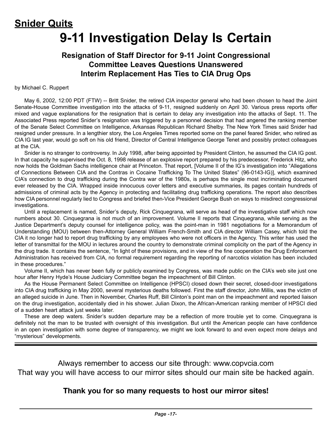# **Snider Quits 9-11 Investigation Delay Is Certain**

## **Resignation of Staff Director for 9-11 Joint Congressional Committee Leaves Questions Unanswered Interim Replacement Has Ties to CIA Drug Ops**

#### by Michael C. Ruppert

May 6, 2002, 12:00 PDT (FTW) -- Britt Snider, the retired CIA inspector general who had been chosen to head the Joint Senate-House Committee investigation into the attacks of 9-11, resigned suddenly on April 30. Various press reports offer mixed and vague explanations for the resignation that is certain to delay any investigation into the attacks of Sept. 11. The Associated Press reported Snider's resignation was triggered by a personnel decision that had angered the ranking member of the Senate Select Committee on Intelligence, Arkansas Republican Richard Shelby. The New York Times said Snider had resigned under pressure. In a lengthier story, the Los Angeles Times reported some on the panel feared Snider, who retired as CIA IG last year, would go soft on his old friend, Director of Central Intelligence George Tenet and possibly protect colleagues at the CIA.

Snider is no stranger to controversy. In July 1998, after being appointed by President Clinton, he assumed the CIA IG post. In that capacity he supervised the Oct. 8, 1998 release of an explosive report prepared by his predecessor, Frederick Hitz, who now holds the Goldman Sachs intelligence chair at Princeton. That report, [Volume II of the IG's investigation into "Allegations of Connections Between CIA and the Contras in Cocaine Trafficking To The United States" (96-0143-IG)], which examined CIA's connection to drug trafficking during the Contra war of the 1980s, is perhaps the single most incriminating document ever released by the CIA. Wrapped inside innocuous cover letters and executive summaries, its pages contain hundreds of admissions of criminal acts by the Agency in protecting and facilitating drug trafficking operations. The report also describes how CIA personnel regularly lied to Congress and briefed then-Vice President George Bush on ways to misdirect congressional investigations.

Until a replacement is named, Snider's deputy, Rick Cinquegrana, will serve as head of the investigative staff which now numbers about 30. Cinquegrana is not much of an improvement. Volume II reports that Cinquegrana, while serving as the Justice Department's deputy counsel for intelligence policy, was the point-man in 1981 negotiations for a Memorandum of Understanding (MOU) between then-Attorney General William French-Smith and CIA director William Casey, which told the CIA it no longer had to report drug trafficking by any employees who were not officers in the Agency. This writer has used the letter of transmittal for the MOU in lectures around the country to demonstrate criminal complicity on the part of the Agency in the drug trade. It contains the sentence, "In light of these provisions, and in view of the fine cooperation the Drug Enforcement Administration has received from CIA, no formal requirement regarding the reporting of narcotics violation has been included in these procedures."

Volume II, which has never been fully or publicly examined by Congress, was made public on the CIA's web site just one hour after Henry Hyde's House Judiciary Committee began the impeachment of Bill Clinton.

As the House Permanent Select Committee on Intelligence (HPSCI) closed down their secret, closed-door investigations into CIA drug trafficking in May 2000, several mysterious deaths followed. First the staff director, John Millis, was the victim of an alleged suicide in June. Then in November, Charles Ruff, Bill Clinton's point man on the impeachment and reported liaison on the drug investigation, accidentally died in his shower. Julian Dixon, the African-American ranking member of HPSCI died of a sudden heart attack just weeks later.

These are deep waters. Snider's sudden departure may be a reflection of more trouble yet to come. Cinquegrana is definitely not the man to be trusted with oversight of this investigation. But until the American people can have confidence in an open investigation with some degree of transparency, we might we look forward to and even expect more delays and "mysterious" developments.

Always remember to access our site through: www.copvcia.com That way you will have access to our mirror sites should our main site be hacked again.

### **Thank you for so many requests to host our mirror sites!**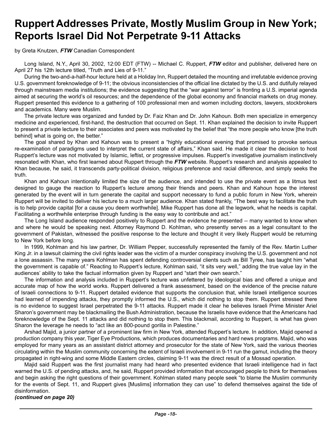# **Ruppert Addresses Private, Mostly Muslim Group in New York; Reports Israel Did Not Perpetrate 9-11 Attacks**

by Greta Knutzen, *FTW* Canadian Correspondent

Long Island, N.Y., April 30, 2002, 12:00 EDT (FTW) -- Michael C. Ruppert, FTW editor and publisher, delivered here on April 27 his 12th lecture titled, "Truth and Lies of 9-11."

During the two-and-a-half-hour lecture held at a Holiday Inn, Ruppert detailed the mounting and irrefutable evidence proving U.S. government foreknowledge of 9-11; the obvious inconsistencies of the official line dictated by the U.S. and dutifully relayed through mainstream media institutions; the evidence suggesting that the "war against terror" is fronting a U.S. imperial agenda aimed at securing the world's oil resources; and the dependence of the global economy and financial markets on drug money. Ruppert presented this evidence to a gathering of 100 professional men and women including doctors, lawyers, stockbrokers and academics. Many were Muslim.

The private lecture was organized and funded by Dr. Faiz Khan and Dr. John Kahoun. Both men specialize in emergency medicine and experienced, first-hand, the destruction that occurred on Sept. 11. Khan explained the decision to invite Ruppert to present a private lecture to their associates and peers was motivated by the belief that "the more people who know [the truth behind] what is going on, the better."

The goal shared by Khan and Kahoun was to present a "highly educational evening that promised to provoke serious re-examination of paradigms used to interpret the current state of affairs," Khan said. He made it clear the decision to host Ruppert's lecture was not motivated by Islamic, leftist, or progressive impulses. Ruppert's investigative journalism instinctively resonated with Khan, who first learned about Ruppert through the *FTW* website. Ruppert's research and analysis appealed to Khan because, he said, it transcends party-political division, religious preference and racial difference, and simply seeks the truth.

Khan and Kahoun intentionally limited the size of the audience, and intended to use the private event as a litmus test designed to gauge the reaction to Ruppert's lecture among their friends and peers. Khan and Kahoun hope the interest generated by the event will in turn generate the capital and support necessary to fund a public forum in New York, wherein Ruppert will be invited to deliver his lecture to a much larger audience. Khan stated frankly, "The best way to facilitate the truth is to help provide capital [for a cause you deem worthwhile]. Mike Ruppert has done all the legwork, what he needs is capital. Facilitating a worthwhile enterprise through funding is the easy way to contribute and act."

The Long Island audience responded positively to Ruppert and the evidence he presented -- many wanted to know when and where he would be speaking next. Attorney Raymond D. Kohlman, who presently serves as a legal consultant to the government of Pakistan, witnessed the positive response to the lecture and thought it very likely Ruppert would be returning to New York before long.

In 1999, Kohlman and his law partner, Dr. William Pepper, successfully represented the family of the Rev. Martin Luther King Jr. in a lawsuit claiming the civil rights leader was the victim of a murder conspiracy involving the U.S. government and not a lone assassin. The many years Kohlman has spent defending controversial clients such as Bill Tyree, has taught him "what the government is capable of." Reacting to Ruppert's lecture, Kohlman said, "it sits very well," adding the true value lay in the audiences' ability to take the factual information given by Ruppert and "start their own search."

The information and analysis included in Ruppert's lecture was unfettered by ideological bias and offered a unique and accurate map of how the world works. Ruppert delivered a frank assessment, based on the evidence of the precise nature of Israeli connections to 9-11. Ruppert detailed evidence that supports the conclusion that, while Israeli intelligence sources had learned of impending attacks, they promptly informed the U.S., which did nothing to stop them. Ruppert stressed there is no evidence to suggest Israel perpetrated the 9-11 attacks. Ruppert made it clear he believes Israeli Prime Minister Ariel Sharon's government may be blackmailing the Bush Administration, because the Israelis have evidence that the Americans had foreknowledge of the Sept. 11 attacks and did nothing to stop them. This blackmail, according to Ruppert, is what has given Sharon the leverage he needs to "act like an 800-pound gorilla in Palestine."

Arshad Majid, a junior partner of a prominent law firm in New York, attended Ruppert's lecture. In addition, Majid opened a production company this year, Tiger Eye Productions, which produces documentaries and hard news programs. Majid, who was employed for many years as an assistant district attorney and prosecutor for the state of New York, said the various theories circulating within the Muslim community concerning the extent of Israeli involvement in 9-11 run the gamut, including the theory propagated in right-wing and some Middle Eastern circles, claiming 9-11 was the direct result of a Mossad operation.

Majid said Ruppert was the first journalist many had heard who presented evidence that Israeli intelligence had in fact warned the U.S. of pending attacks, and, he said, Ruppert provided information that encouraged people to think for themselves and begin asking the right questions of their government. Kohlman stated many people seek "to blame the Muslim community for the events of Sept. 11, and Ruppert gives [Muslims] information they can use" to defend themselves against the tide of disinformation.

#### *(continued on page 20)*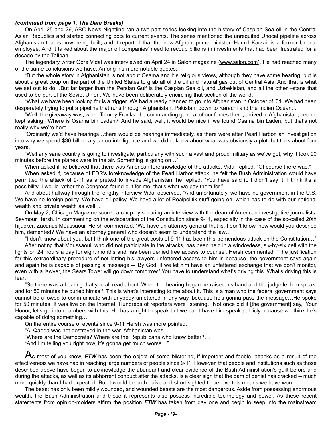#### *(continued from page 1, The Dam Breaks)*

On April 25 and 26, ABC News Nightline ran a two-part series looking into the history of Caspian Sea oil in the Central Asian Republics and started connecting dots to current events. The series mentioned the unrequited Unocal pipeline across Afghanistan that is now being built, and it reported that the new Afghani prime minister, Hamid Karzai, is a former Unocal employee. And it talked about the major oil companies' need to recoup billions in investments that had been frustrated for a decade by the Taliban.

The legendary writer Gore Vidal was interviewed on April 24 in Salon magazine [\(www.salon.com\)](http://www.salon.com). He had reached many of the same conclusions we have. Among his more notable quotes:

"But the whole story in Afghanistan is not about Osama and his religious views, although they have some bearing, but is about a great coup on the part of the United States to grab all of the oil and natural gas out of Central Asia. And that is what we set out to do…But far larger than the Persian Gulf is the Caspian Sea oil, and Uzbekistan, and all the other –stans that used to be part of the Soviet Union. We have been deliberately encircling that section of the world…

"What we have been looking for is a trigger. We had already planned to go into Afghanistan in October of '01. We had been desperately trying to put a pipeline that runs through Afghanistan, Pakistan, down to Karachi and the Indian Ocean...

"Well, the giveaway was, when Tommy Franks, the commanding general of our forces there, arrived in Afghanistan, people kept asking, 'Where is Osama bin Laden?' And he said, well, it would be nice if we found Osama bin Laden, but that's not really why we're here…

"Ordinarily we'd have hearings…there would be hearings immediately, as there were after Pearl Harbor, an investigation into why we spend \$30 billion a year on intelligence and we didn't know about what was obviously a plot that took about four years…

"Well any sane country is going to investigate, particularly with such a vast and proud military as we've got, why it took 90 minutes before the planes were in the air. Something is going on…"

When asked if he believed that there was American foreknowledge of the attacks, Vidal replied, "Of course there was."

When asked if, because of FDR's foreknowledge of the Pearl Harbor attack, he felt the Bush Administration would have permitted the attack of 9-11 as a pretext to invade Afghanistan, he replied, "You have said it. I didn't say it. I think it's a possibility. I would rather the Congress found out for me; that's what we pay them for."

And about halfway through the lengthy interview Vidal observed, "And unfortunately, we have no government in the U.S. We have no foreign policy. We have oil policy. We have a lot of Realpolitik stuff going on, which has to do with our national wealth and private wealth as well…"

On May 2, Chicago Magazine scored a coup by securing an interview with the dean of American investigative journalists, Seymour Hersh. In commenting on the evisceration of the Constitution since 9-11, especially in the case of the so-called 20th hijacker, Zacarias Moussaoui, Hersh commented, "We have an attorney general that is, I don't know, how would you describe him, demented? We have an attorney general who doesn't seem to understand the law...

"I don't know about you, but I think one of the great costs of 9-11 has been this tremendous attack on the Constitution…" After noting that Moussaoui, who did not participate in the attacks, has been held in a windowless, six-by-six cell with the lights on 24 hours a day for eight months and has been denied free access to counsel, Hersh commented, "The justification for this extraordinary procedure of not letting his lawyers unfettered access to him is because, the government says again and again he is capable of passing a message -- 'By God, if we let him have an unfettered exchange that we don't monitor, even with a lawyer, the Sears Tower will go down tomorrow.' You have to understand what's driving this. What's driving this is fear…

"So there was a hearing that you all read about. When the hearing began he raised his hand and the judge let him speak, and for 50 minutes he buried himself. This is what's interesting to me about it. This is a man who the federal government says cannot be allowed to communicate with anybody unfettered in any way, because he's gonna pass the message…He spoke for 50 minutes. It was live on the Internet. Hundreds of reporters were listening…Not once did it [the government] say, 'Your Honor, let's go into chambers with this. He has a right to speak but we can't have him speak publicly because we think he's capable of doing something…'"

On the entire course of events since 9-11 Hersh was more pointed.

"Al Qaeda was not destroyed in the war. Afghanistan was…

"Where are the Democrats? Where are the Republicans who know better?…

"And I'm telling you right now, it's gonna get much worse…"

As most of you know, FTW has been the object of some blistering, if impotent and feeble, attacks as a result of the effectiveness we have had in reaching large numbers of people since 9-11. However, that people and institutions such as those described above have begun to acknowledge the abundant and clear evidence of the Bush Administration's guilt before and during the attacks, as well as its abhorrent conduct after the attacks, is a clear sign that the dam of denial has cracked -- much more quickly than I had expected. But it would be both naïve and short sighted to believe this means we have won.

The beast has only been mildly wounded, and wounded beasts are the most dangerous. Aside from possessing enormous wealth, the Bush Administration and those it represents also possess incredible technology and power. As these recent statements from opinion-molders affirm the position *FTW* has taken from day one and begin to seep into the mainstream